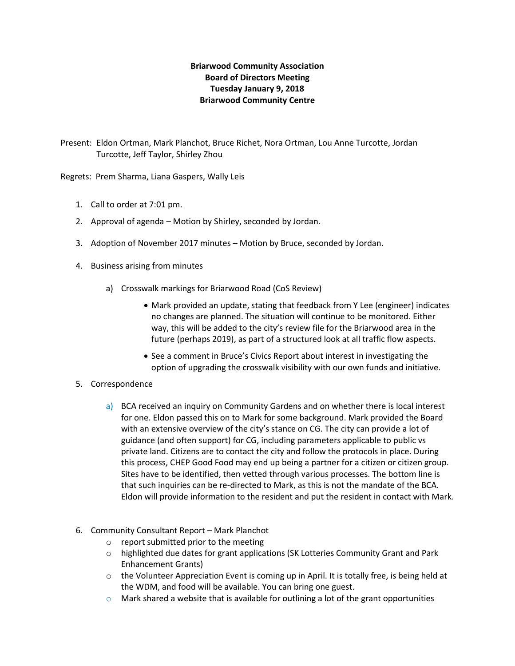## **Briarwood Community Association Board of Directors Meeting Tuesday January 9, 2018 Briarwood Community Centre**

Present: Eldon Ortman, Mark Planchot, Bruce Richet, Nora Ortman, Lou Anne Turcotte, Jordan Turcotte, Jeff Taylor, Shirley Zhou

Regrets: Prem Sharma, Liana Gaspers, Wally Leis

- 1. Call to order at 7:01 pm.
- 2. Approval of agenda Motion by Shirley, seconded by Jordan.
- 3. Adoption of November 2017 minutes Motion by Bruce, seconded by Jordan.
- 4. Business arising from minutes
	- a) Crosswalk markings for Briarwood Road (CoS Review)
		- Mark provided an update, stating that feedback from Y Lee (engineer) indicates no changes are planned. The situation will continue to be monitored. Either way, this will be added to the city's review file for the Briarwood area in the future (perhaps 2019), as part of a structured look at all traffic flow aspects.
		- See a comment in Bruce's Civics Report about interest in investigating the option of upgrading the crosswalk visibility with our own funds and initiative.

## 5. Correspondence

- a) BCA received an inquiry on Community Gardens and on whether there is local interest for one. Eldon passed this on to Mark for some background. Mark provided the Board with an extensive overview of the city's stance on CG. The city can provide a lot of guidance (and often support) for CG, including parameters applicable to public vs private land. Citizens are to contact the city and follow the protocols in place. During this process, CHEP Good Food may end up being a partner for a citizen or citizen group. Sites have to be identified, then vetted through various processes. The bottom line is that such inquiries can be re-directed to Mark, as this is not the mandate of the BCA. Eldon will provide information to the resident and put the resident in contact with Mark.
- 6. Community Consultant Report Mark Planchot
	- o report submitted prior to the meeting
	- o highlighted due dates for grant applications (SK Lotteries Community Grant and Park Enhancement Grants)
	- $\circ$  the Volunteer Appreciation Event is coming up in April. It is totally free, is being held at the WDM, and food will be available. You can bring one guest.
	- $\circ$  Mark shared a website that is available for outlining a lot of the grant opportunities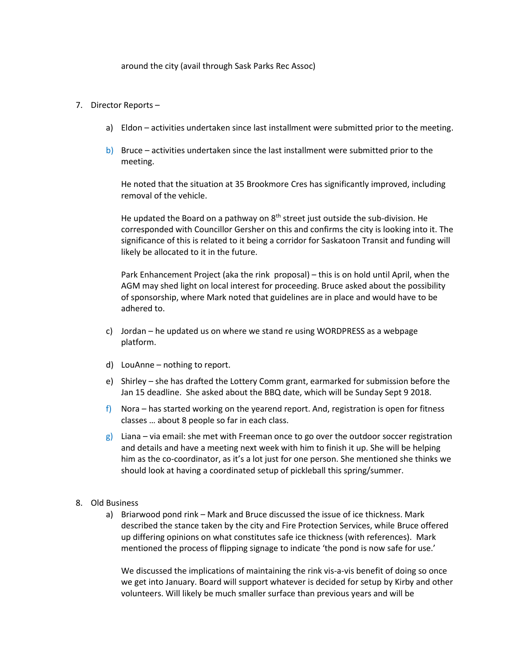around the city (avail through Sask Parks Rec Assoc)

## 7. Director Reports –

- a) Eldon activities undertaken since last installment were submitted prior to the meeting.
- b) Bruce activities undertaken since the last installment were submitted prior to the meeting.

He noted that the situation at 35 Brookmore Cres has significantly improved, including removal of the vehicle.

He updated the Board on a pathway on  $8<sup>th</sup>$  street just outside the sub-division. He corresponded with Councillor Gersher on this and confirms the city is looking into it. The significance of this is related to it being a corridor for Saskatoon Transit and funding will likely be allocated to it in the future.

Park Enhancement Project (aka the rink proposal) – this is on hold until April, when the AGM may shed light on local interest for proceeding. Bruce asked about the possibility of sponsorship, where Mark noted that guidelines are in place and would have to be adhered to.

- c) Jordan he updated us on where we stand re using WORDPRESS as a webpage platform.
- d) LouAnne nothing to report.
- e) Shirley she has drafted the Lottery Comm grant, earmarked for submission before the Jan 15 deadline. She asked about the BBQ date, which will be Sunday Sept 9 2018.
- f) Nora has started working on the yearend report. And, registration is open for fitness classes … about 8 people so far in each class.
- $g$ ) Liana via email: she met with Freeman once to go over the outdoor soccer registration and details and have a meeting next week with him to finish it up. She will be helping him as the co-coordinator, as it's a lot just for one person. She mentioned she thinks we should look at having a coordinated setup of pickleball this spring/summer.
- 8. Old Business
	- a) Briarwood pond rink Mark and Bruce discussed the issue of ice thickness. Mark described the stance taken by the city and Fire Protection Services, while Bruce offered up differing opinions on what constitutes safe ice thickness (with references). Mark mentioned the process of flipping signage to indicate 'the pond is now safe for use.'

We discussed the implications of maintaining the rink vis-a-vis benefit of doing so once we get into January. Board will support whatever is decided for setup by Kirby and other volunteers. Will likely be much smaller surface than previous years and will be